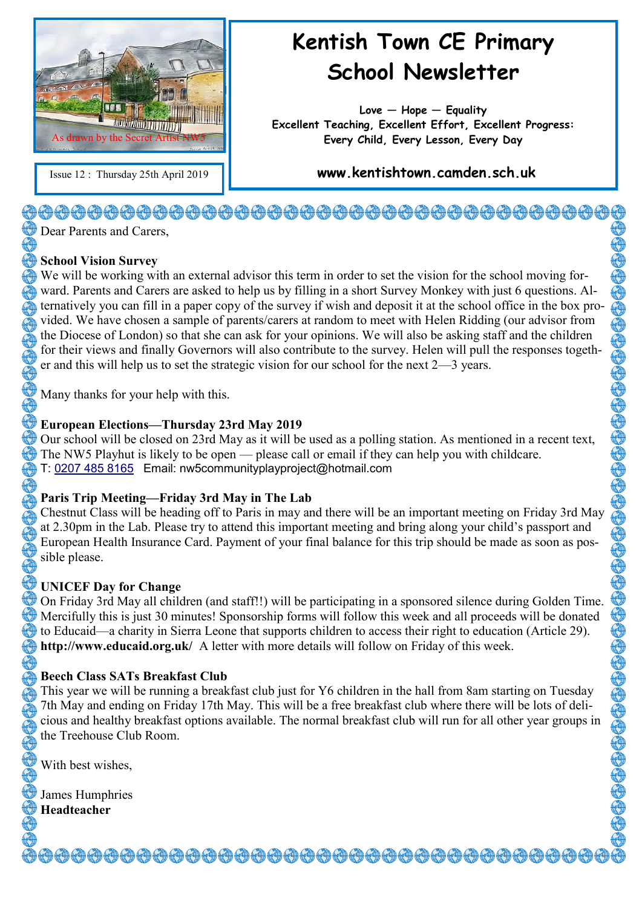

# **Kentish Town CE Primary School Newsletter**

**Love — Hope — Equality Excellent Teaching, Excellent Effort, Excellent Progress: Every Child, Every Lesson, Every Day**

Issue 12 : Thursday 25th April 2019 **www.kentishtown.camden.sch.uk** 

# <del>�</del>@@@@@@@@@@@@@@@@@@@@@@@@@@@@@@@@

Dear Parents and Carers,

#### **School Vision Survey**

We will be working with an external advisor this term in order to set the vision for the school moving forward. Parents and Carers are asked to help us by filling in a short Survey Monkey with just 6 questions. Alternatively you can fill in a paper copy of the survey if wish and deposit it at the school office in the box provided. We have chosen a sample of parents/carers at random to meet with Helen Ridding (our advisor from the Diocese of London) so that she can ask for your opinions. We will also be asking staff and the children for their views and finally Governors will also contribute to the survey. Helen will pull the responses together and this will help us to set the strategic vision for our school for the next 2—3 years.

Many thanks for your help with this.

#### **European Elections—Thursday 23rd May 2019**

Our school will be closed on 23rd May as it will be used as a polling station. As mentioned in a recent text, The NW5 Playhut is likely to be open — please call or email if they can help you with childcare. T: [0207 485 8165](dial://02074858165/) Email: nw5communityplayproject@hotmail.com

# **Paris Trip Meeting—Friday 3rd May in The Lab**

Chestnut Class will be heading off to Paris in may and there will be an important meeting on Friday 3rd May at 2.30pm in the Lab. Please try to attend this important meeting and bring along your child's passport and European Health Insurance Card. Payment of your final balance for this trip should be made as soon as possible please.

# **UNICEF Day for Change**

On Friday 3rd May all children (and staff!!) will be participating in a sponsored silence during Golden Time. Mercifully this is just 30 minutes! Sponsorship forms will follow this week and all proceeds will be donated to Educaid—a charity in Sierra Leone that supports children to access their right to education (Article 29). **http://www.educaid.org.uk/** A letter with more details will follow on Friday of this week.

# **Beech Class SATs Breakfast Club**

This year we will be running a breakfast club just for Y6 children in the hall from 8am starting on Tuesday 7th May and ending on Friday 17th May. This will be a free breakfast club where there will be lots of delicious and healthy breakfast options available. The normal breakfast club will run for all other year groups in the Treehouse Club Room.

With best wishes,

**J** James Humphries **Headteacher**